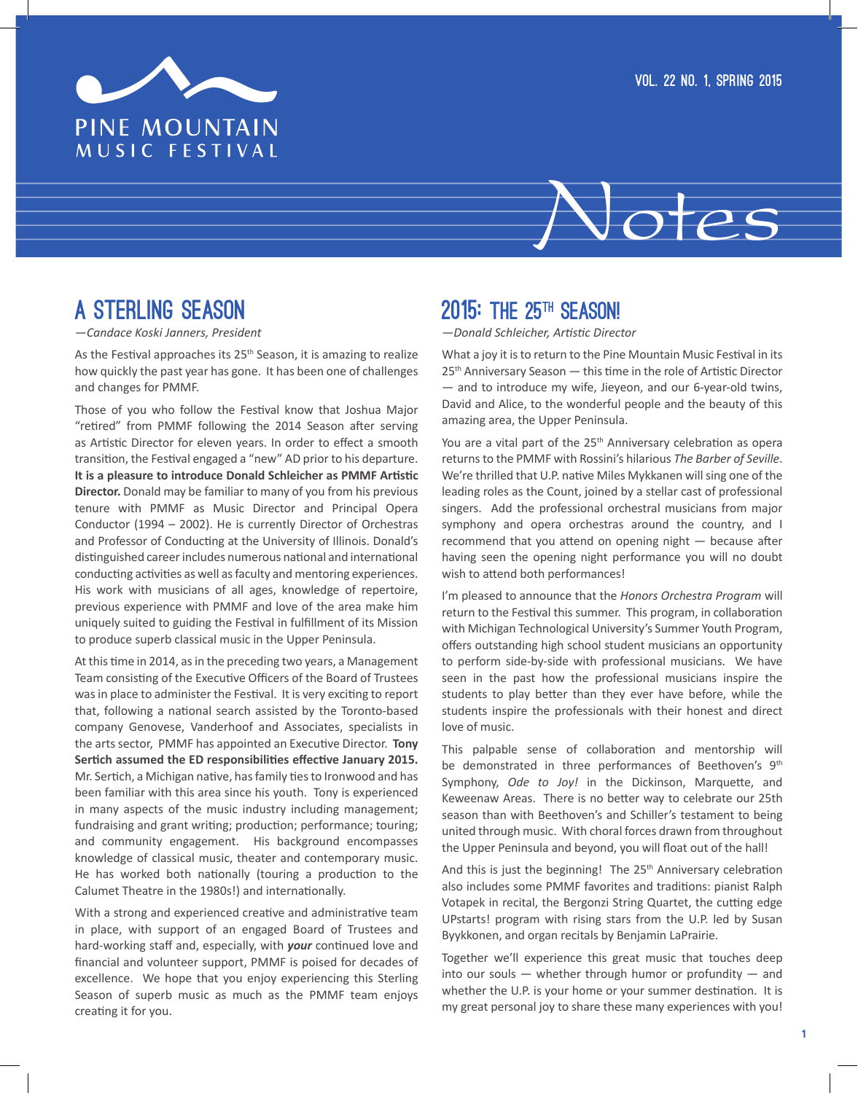

# Notes

# A STERLING SEASON

*—Candace Koski Janners, President*

As the Festival approaches its 25<sup>th</sup> Season, it is amazing to realize how quickly the past year has gone. It has been one of challenges and changes for PMMF.

Those of you who follow the Festival know that Joshua Major "retired" from PMMF following the 2014 Season after serving as Artistic Director for eleven years. In order to effect a smooth transition, the Festival engaged a "new" AD prior to his departure. **It is a pleasure to introduce Donald Schleicher as PMMF Artistic Director.** Donald may be familiar to many of you from his previous tenure with PMMF as Music Director and Principal Opera Conductor (1994 – 2002). He is currently Director of Orchestras and Professor of Conducting at the University of Illinois. Donald's distinguished career includes numerous national and international conducting activities as well as faculty and mentoring experiences. His work with musicians of all ages, knowledge of repertoire, previous experience with PMMF and love of the area make him uniquely suited to guiding the Festival in fulfillment of its Mission to produce superb classical music in the Upper Peninsula.

At this time in 2014, as in the preceding two years, a Management Team consisting of the Executive Officers of the Board of Trustees was in place to administer the Festival. It is very exciting to report that, following a national search assisted by the Toronto-based company Genovese, Vanderhoof and Associates, specialists in the arts sector, PMMF has appointed an Executive Director. **Tony Sertich assumed the ED responsibilities effective January 2015.**  Mr. Sertich, a Michigan native, has family ties to Ironwood and has been familiar with this area since his youth. Tony is experienced in many aspects of the music industry including management; fundraising and grant writing; production; performance; touring; and community engagement. His background encompasses knowledge of classical music, theater and contemporary music. He has worked both nationally (touring a production to the Calumet Theatre in the 1980s!) and internationally.

With a strong and experienced creative and administrative team in place, with support of an engaged Board of Trustees and hard-working staff and, especially, with *your* continued love and financial and volunteer support, PMMF is poised for decades of excellence. We hope that you enjoy experiencing this Sterling Season of superb music as much as the PMMF team enjoys creating it for you.

# 2015: THE 25<sup>TH</sup> SEASON!

*—Donald Schleicher, Artistic Director*

What a joy it is to return to the Pine Mountain Music Festival in its 25<sup>th</sup> Anniversary Season — this time in the role of Artistic Director — and to introduce my wife, Jieyeon, and our 6-year-old twins, David and Alice, to the wonderful people and the beauty of this amazing area, the Upper Peninsula.

You are a vital part of the 25<sup>th</sup> Anniversary celebration as opera returns to the PMMF with Rossini's hilarious *The Barber of Seville*. We're thrilled that U.P. native Miles Mykkanen will sing one of the leading roles as the Count, joined by a stellar cast of professional singers. Add the professional orchestral musicians from major symphony and opera orchestras around the country, and I recommend that you attend on opening night — because after having seen the opening night performance you will no doubt wish to attend both performances!

I'm pleased to announce that the *Honors Orchestra Program* will return to the Festival this summer. This program, in collaboration with Michigan Technological University's Summer Youth Program, offers outstanding high school student musicians an opportunity to perform side-by-side with professional musicians. We have seen in the past how the professional musicians inspire the students to play better than they ever have before, while the students inspire the professionals with their honest and direct love of music.

This palpable sense of collaboration and mentorship will be demonstrated in three performances of Beethoven's 9<sup>th</sup> Symphony, *Ode to Joy!* in the Dickinson, Marquette, and Keweenaw Areas. There is no better way to celebrate our 25th season than with Beethoven's and Schiller's testament to being united through music. With choral forces drawn from throughout the Upper Peninsula and beyond, you will float out of the hall!

And this is just the beginning! The 25<sup>th</sup> Anniversary celebration also includes some PMMF favorites and traditions: pianist Ralph Votapek in recital, the Bergonzi String Quartet, the cutting edge UPstarts! program with rising stars from the U.P. led by Susan Byykkonen, and organ recitals by Benjamin LaPrairie.

Together we'll experience this great music that touches deep into our souls — whether through humor or profundity — and whether the U.P. is your home or your summer destination. It is my great personal joy to share these many experiences with you!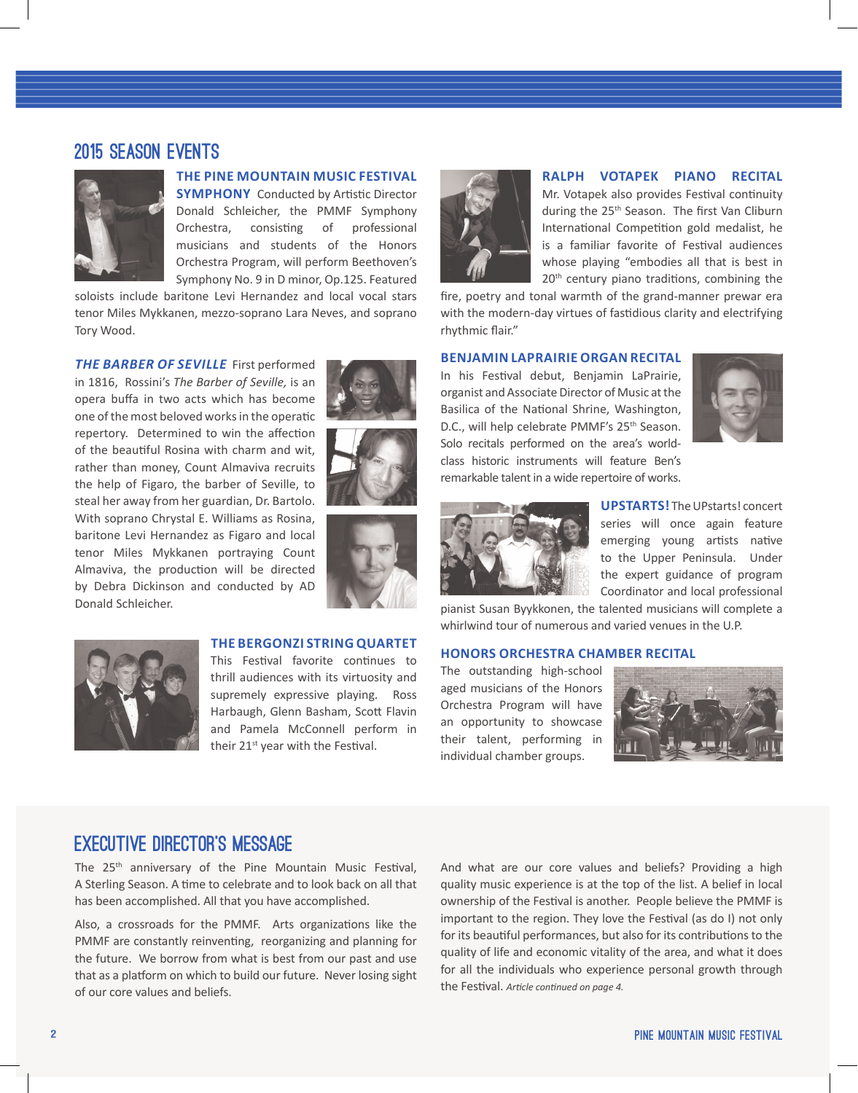## 2015 Season Events



### **THE PINE MOUNTAIN MUSIC FESTIVAL**

**SYMPHONY** Conducted by Artistic Director Donald Schleicher, the PMMF Symphony Orchestra, consisting of professional musicians and students of the Honors Orchestra Program, will perform Beethoven's Symphony No. 9 in D minor, Op.125. Featured

soloists include baritone Levi Hernandez and local vocal stars tenor Miles Mykkanen, mezzo-soprano Lara Neves, and soprano Tory Wood.

*THE BARBER OF SEVILLE*First performed in 1816, Rossini's *The Barber of Seville,* is an opera buffa in two acts which has become one of the most beloved works in the operatic repertory. Determined to win the affection of the beautiful Rosina with charm and wit, rather than money, Count Almaviva recruits the help of Figaro, the barber of Seville, to steal her away from her guardian, Dr. Bartolo. With soprano Chrystal E. Williams as Rosina, baritone Levi Hernandez as Figaro and local tenor Miles Mykkanen portraying Count Almaviva, the production will be directed by Debra Dickinson and conducted by AD Donald Schleicher.







## **THE BERGONZI STRING QUARTET**

This Festival favorite continues to thrill audiences with its virtuosity and supremely expressive playing. Ross Harbaugh, Glenn Basham, Scott Flavin and Pamela McConnell perform in their 21<sup>st</sup> year with the Festival.



#### **RALPH VOTAPEK PIANO RECITAL**

Mr. Votapek also provides Festival continuity during the 25<sup>th</sup> Season. The first Van Cliburn International Competition gold medalist, he is a familiar favorite of Festival audiences whose playing "embodies all that is best in 20<sup>th</sup> century piano traditions, combining the

fire, poetry and tonal warmth of the grand-manner prewar era with the modern-day virtues of fastidious clarity and electrifying rhythmic flair."

#### **BENJAMIN LAPRAIRIE ORGAN RECITAL**

In his Festival debut, Benjamin LaPrairie, organist and Associate Director of Music at the Basilica of the National Shrine, Washington, D.C., will help celebrate PMMF's 25<sup>th</sup> Season. Solo recitals performed on the area's worldclass historic instruments will feature Ben's remarkable talent in a wide repertoire of works.





**UPSTARTS!** The UPstarts! concert series will once again feature emerging young artists native to the Upper Peninsula. Under the expert guidance of program Coordinator and local professional

pianist Susan Byykkonen, the talented musicians will complete a whirlwind tour of numerous and varied venues in the U.P.

### **HONORS ORCHESTRA CHAMBER RECITAL**

The outstanding high-school aged musicians of the Honors Orchestra Program will have an opportunity to showcase their talent, performing in individual chamber groups.



## Executive Director's Message

The 25<sup>th</sup> anniversary of the Pine Mountain Music Festival, A Sterling Season. A time to celebrate and to look back on all that has been accomplished. All that you have accomplished.

Also, a crossroads for the PMMF. Arts organizations like the PMMF are constantly reinventing, reorganizing and planning for the future. We borrow from what is best from our past and use that as a platform on which to build our future. Never losing sight of our core values and beliefs.

And what are our core values and beliefs? Providing a high quality music experience is at the top of the list. A belief in local ownership of the Festival is another. People believe the PMMF is important to the region. They love the Festival (as do I) not only for its beautiful performances, but also for its contributions to the quality of life and economic vitality of the area, and what it does for all the individuals who experience personal growth through the Festival. *Article continued on page 4.*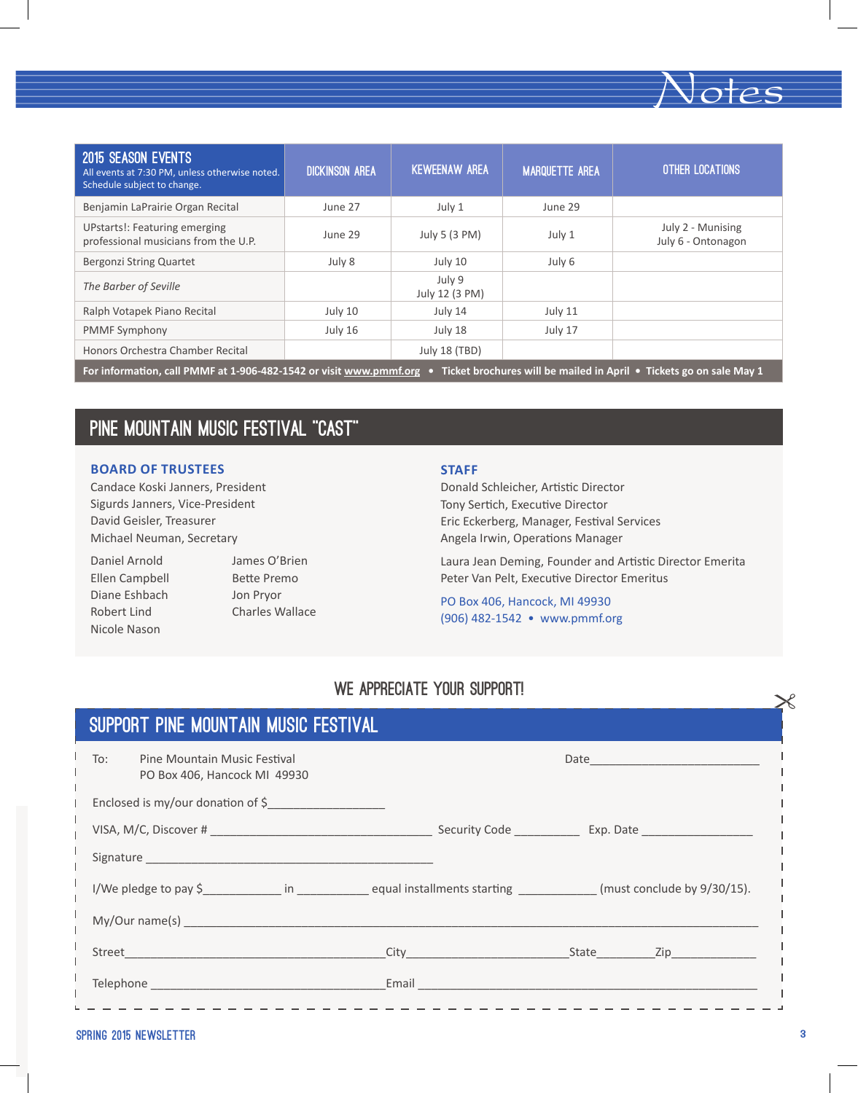| <b>2015 SEASON EVENTS</b><br>All events at 7:30 PM, unless otherwise noted.<br>Schedule subject to change.                               | <b>DICKINSON AREA</b> | <b>KEWEENAW AREA</b>     | <b>MARQUETTE AREA</b> | <b>OTHER LOCATIONS</b>                  |
|------------------------------------------------------------------------------------------------------------------------------------------|-----------------------|--------------------------|-----------------------|-----------------------------------------|
| Benjamin LaPrairie Organ Recital                                                                                                         | June 27               | July 1                   | June 29               |                                         |
| <b>UPstarts!: Featuring emerging</b><br>professional musicians from the U.P.                                                             | June 29               | July 5 (3 PM)            | July 1                | July 2 - Munising<br>July 6 - Ontonagon |
| Bergonzi String Quartet                                                                                                                  | July 8                | July 10                  | July 6                |                                         |
| The Barber of Seville                                                                                                                    |                       | July 9<br>July 12 (3 PM) |                       |                                         |
| Ralph Votapek Piano Recital                                                                                                              | July 10               | July 14                  | July 11               |                                         |
| <b>PMMF Symphony</b>                                                                                                                     | July 16               | July 18                  | July 17               |                                         |
| Honors Orchestra Chamber Recital                                                                                                         |                       | <b>July 18 (TBD)</b>     |                       |                                         |
| For information, call PMMF at 1-906-482-1542 or visit www.pmmf.org • Ticket brochures will be mailed in April • Tickets go on sale May 1 |                       |                          |                       |                                         |

# Pine Mountain Music Festival "Cast"

#### **BOARD OF TRUSTEES**

Candace Koski Janners, President Sigurds Janners, Vice-President David Geisler, Treasurer Michael Neuman, Secretary

Daniel Arnold James O'Brien Ellen Campbell Bette Premo Diane Eshbach Jon Pryor Nicole Nason

Robert Lind Charles Wallace

#### **STAFF**

Donald Schleicher, Artistic Director Tony Sertich, Executive Director Eric Eckerberg, Manager, Festival Services Angela Irwin, Operations Manager

Laura Jean Deming, Founder and Artistic Director Emerita Peter Van Pelt, Executive Director Emeritus

Notes

PO Box 406, Hancock, MI 49930 (906) 482-1542 • www.pmmf.org

# WE APPRECIATE YOUR SUPPORT!

| SUPPORT PINE MOUNTAIN MUSIC FESTIVAL                                |                       |  |  |  |
|---------------------------------------------------------------------|-----------------------|--|--|--|
| To:<br>Pine Mountain Music Festival<br>PO Box 406, Hancock MI 49930 |                       |  |  |  |
| Enclosed is my/our donation of \$                                   |                       |  |  |  |
|                                                                     |                       |  |  |  |
|                                                                     |                       |  |  |  |
|                                                                     | I/We pledge to pay \$ |  |  |  |
| My/Our name(s)                                                      |                       |  |  |  |
|                                                                     |                       |  |  |  |
|                                                                     |                       |  |  |  |

------------------------

#### SPRING 2015 NEWSLETTER 3

-----------